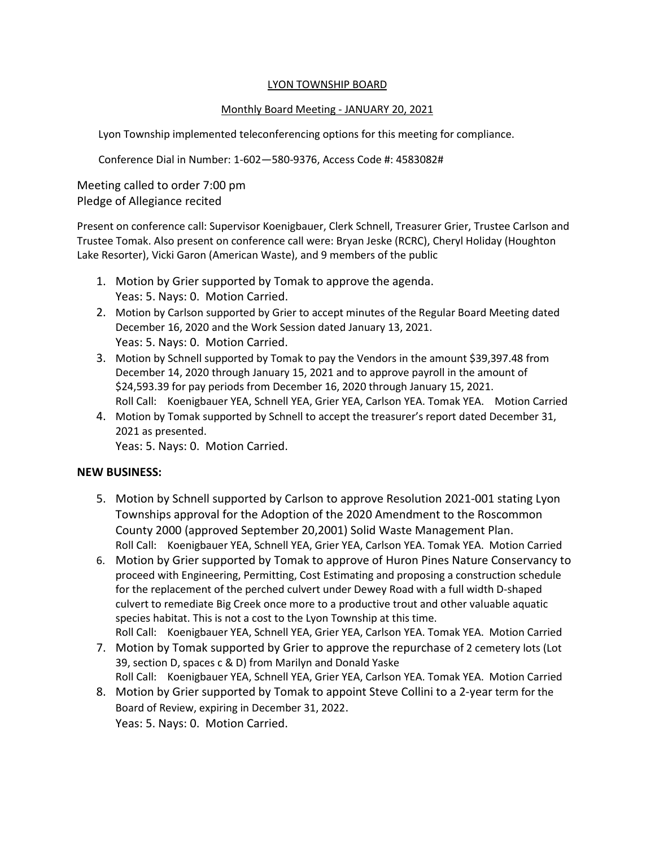#### LYON TOWNSHIP BOARD

### Monthly Board Meeting - JANUARY 20, 2021

Lyon Township implemented teleconferencing options for this meeting for compliance.

Conference Dial in Number: 1-602—580-9376, Access Code #: 4583082#

Meeting called to order 7:00 pm Pledge of Allegiance recited

Present on conference call: Supervisor Koenigbauer, Clerk Schnell, Treasurer Grier, Trustee Carlson and Trustee Tomak. Also present on conference call were: Bryan Jeske (RCRC), Cheryl Holiday (Houghton Lake Resorter), Vicki Garon (American Waste), and 9 members of the public

- 1. Motion by Grier supported by Tomak to approve the agenda. Yeas: 5. Nays: 0. Motion Carried.
- 2. Motion by Carlson supported by Grier to accept minutes of the Regular Board Meeting dated December 16, 2020 and the Work Session dated January 13, 2021. Yeas: 5. Nays: 0. Motion Carried.
- 3. Motion by Schnell supported by Tomak to pay the Vendors in the amount \$39,397.48 from December 14, 2020 through January 15, 2021 and to approve payroll in the amount of \$24,593.39 for pay periods from December 16, 2020 through January 15, 2021. Roll Call: Koenigbauer YEA, Schnell YEA, Grier YEA, Carlson YEA. Tomak YEA. Motion Carried
- 4. Motion by Tomak supported by Schnell to accept the treasurer's report dated December 31, 2021 as presented. Yeas: 5. Nays: 0. Motion Carried.

## **NEW BUSINESS:**

- 5. Motion by Schnell supported by Carlson to approve Resolution 2021-001 stating Lyon Townships approval for the Adoption of the 2020 Amendment to the Roscommon County 2000 (approved September 20,2001) Solid Waste Management Plan. Roll Call: Koenigbauer YEA, Schnell YEA, Grier YEA, Carlson YEA. Tomak YEA. Motion Carried
- 6. Motion by Grier supported by Tomak to approve of Huron Pines Nature Conservancy to proceed with Engineering, Permitting, Cost Estimating and proposing a construction schedule for the replacement of the perched culvert under Dewey Road with a full width D-shaped culvert to remediate Big Creek once more to a productive trout and other valuable aquatic species habitat. This is not a cost to the Lyon Township at this time. Roll Call: Koenigbauer YEA, Schnell YEA, Grier YEA, Carlson YEA. Tomak YEA. Motion Carried
- 7. Motion by Tomak supported by Grier to approve the repurchase of 2 cemetery lots (Lot 39, section D, spaces c & D) from Marilyn and Donald Yaske Roll Call: Koenigbauer YEA, Schnell YEA, Grier YEA, Carlson YEA. Tomak YEA. Motion Carried
- 8. Motion by Grier supported by Tomak to appoint Steve Collini to a 2-year term for the Board of Review, expiring in December 31, 2022. Yeas: 5. Nays: 0. Motion Carried.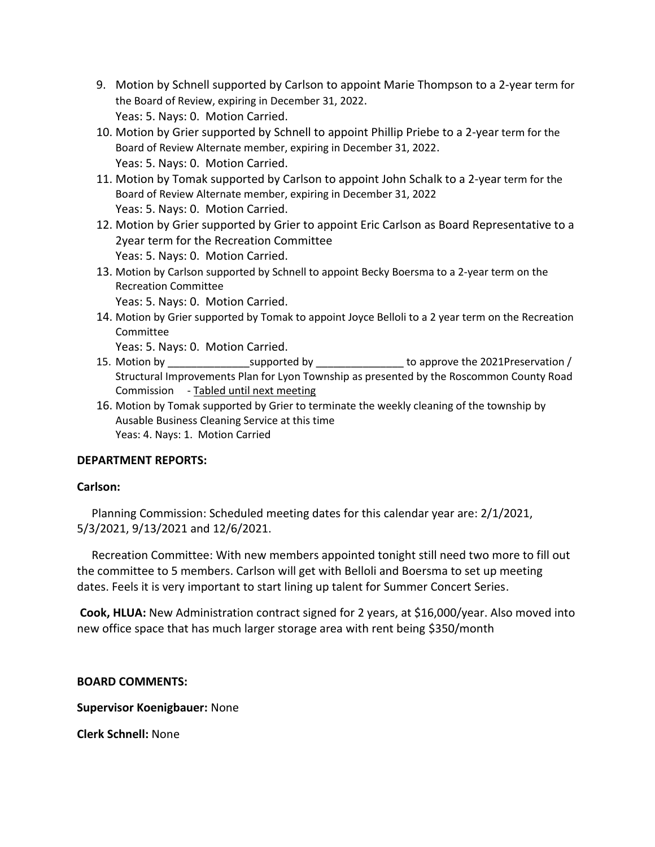- 9. Motion by Schnell supported by Carlson to appoint Marie Thompson to a 2-year term for the Board of Review, expiring in December 31, 2022. Yeas: 5. Nays: 0. Motion Carried.
- 10. Motion by Grier supported by Schnell to appoint Phillip Priebe to a 2-year term for the Board of Review Alternate member, expiring in December 31, 2022. Yeas: 5. Nays: 0. Motion Carried.
- 11. Motion by Tomak supported by Carlson to appoint John Schalk to a 2-year term for the Board of Review Alternate member, expiring in December 31, 2022 Yeas: 5. Nays: 0. Motion Carried.
- 12. Motion by Grier supported by Grier to appoint Eric Carlson as Board Representative to a 2year term for the Recreation Committee Yeas: 5. Nays: 0. Motion Carried.
- 13. Motion by Carlson supported by Schnell to appoint Becky Boersma to a 2-year term on the Recreation Committee

Yeas: 5. Nays: 0. Motion Carried.

14. Motion by Grier supported by Tomak to appoint Joyce Belloli to a 2 year term on the Recreation Committee

Yeas: 5. Nays: 0. Motion Carried.

- 15. Motion by \_\_\_\_\_\_\_\_\_\_\_\_\_\_\_\_\_\_supported by \_\_\_\_\_\_\_\_\_\_\_\_\_\_\_\_\_\_\_ to approve the 2021Preservation / Structural Improvements Plan for Lyon Township as presented by the Roscommon County Road Commission - Tabled until next meeting
- 16. Motion by Tomak supported by Grier to terminate the weekly cleaning of the township by Ausable Business Cleaning Service at this time Yeas: 4. Nays: 1. Motion Carried

# **DEPARTMENT REPORTS:**

### **Carlson:**

 Planning Commission: Scheduled meeting dates for this calendar year are: 2/1/2021, 5/3/2021, 9/13/2021 and 12/6/2021.

 Recreation Committee: With new members appointed tonight still need two more to fill out the committee to 5 members. Carlson will get with Belloli and Boersma to set up meeting dates. Feels it is very important to start lining up talent for Summer Concert Series.

**Cook, HLUA:** New Administration contract signed for 2 years, at \$16,000/year. Also moved into new office space that has much larger storage area with rent being \$350/month

**BOARD COMMENTS:** 

**Supervisor Koenigbauer:** None

**Clerk Schnell:** None